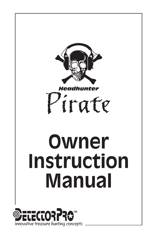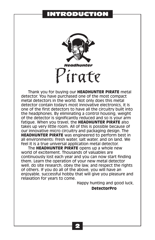## INTRODUCTION



Thank you for buying our **HEADHUNTER PIRATE** metal detector. You have purchased one of the most compact metal detectors in the world. Not only does this metal detector contain today's most innovative electronics, it is one of the first detectors to have all the circuitry built into the headphones. By eliminating a control housing, weight of the detector is significantly reduced and so is your arm fatigue. When you travel, the **HEADHUNTER PIRATE** also takes up very little room. All of this is possible because of our innovative micro circuitry and packaging design. The **HEADHUNTER PIRATE** was engineered to perform best in all environments: fresh water, salt water, and on land. We feel it is a true universal application metal detector.

The **HEADHUNTER PIRATE** opens up a whole new world of excitement. Thousands of valuables are continuously lost each year and you can now start finding them. Learn the operation of your new metal detector well, do site research, obey the law, and respect the rights of others. If you do all of the above, you will have an enjoyable, successful hobby that will give you pleasure and relaxation for years to come.

> Happy hunting and good luck, **DetectorPro**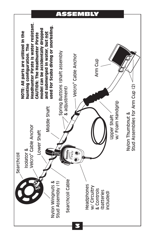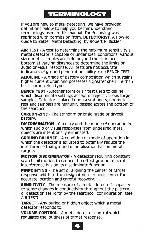# TERMINOLOGY

If you are new to metal detecting, we have provided definitions below to help you better understand terminology used in this manual. The following was reprinted with permission from: **DETECTORIST**, A How-To Guide to Better Metal Detecting, by Robert H. Sickler.

**AIR TEST** - A test to determine the maximum sensitivity a metal detector is capable of under ideal conditions. Various sized metal samples are held beyond the searchcoil bottom at varying distances to determine the limits of audio or visual response. Air tests are not accurate indicators of ground penetration ability. (see BENCH TEST)

**ALKALINE** - A grade of battery composition which sustains higher current drain and possesses a greater shelf life than basic carbon-zinc types.

**BENCH TEST** - Another form of air test used to define which discriminate settings accept or reject various target samples. Detector is placed upon a stationary, nonmetallic rest and samples are manually passed across the bottom of the searchcoil.

**CARBON-ZINC** - The standard or basic grade of drycell battery.

**DISCRIMINATION** - Circuitry and the mode of operation in which audio or visual responses from undesired metal objects are intentionally eliminated.

**GROUND BALANCE** - A condition or mode of operation in which the detector is adjusted to optimally reduce the interference that ground mineralization has on metal targets.

**MOTION DISCRIMINATOR** - A detector requiring constant searchcoil motion to reduce the effect ground mineral interference has on its discriminate function.

**PINPOINTING** - The act of aligning the center of target response width to the designated searchcoil center for accurate location and careful recovery.

**SENSITIVITY** - The measure of a metal detector's capacity to sense changes in conductivity throughout the pattern of detection set forth by the searchcoil configuration. (see AIR TEST)

**TARGET** - Any buried or hidden object which a metal detector responds to.

**VOLUME CONTROL** - A metal detector control which regulates the loudness of target response.

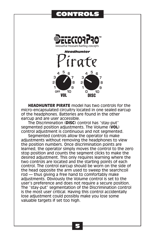## CONTROLS



**HEADHUNTER PIRATE** model has two controls for the micro-encapsulated circuitry located in one sealed earcup of the headphones. Batteries are found in the other earcup and are user accessible.

The Discrimination (**DISC**) control has "stay-put" segmented position adjustments. The Volume (**VOL**) control adjustment is continuous and not segmented.

Segmented controls allow the operator to make adjustments without removing the headphones to view the position numbers. Once discrimination points are learned, the operator simply moves the control to the zero stop position and counts the segment clicks to make the desired adjustment. This only requires learning where the two controls are located and the starting points of each control. The control earcup should be worn on the side of the head opposite the arm used to sweep the searchcoil rod — thus giving a free hand to comfortably make adjustments. Obviously the Volume control is set to the user's preference and does not require a secure position. The "stay-put" segmentation of the Discrimination control is the most user critical. Having this control accidentally lose adjustment could possibly make you lose some valuable targets if set too high.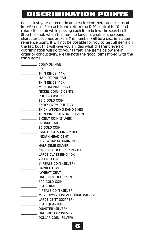# DISCRIMINATION POINTS

Bench test your detector in an area free of metal and electrical interference. For each item, return the DISC control to "0" and rotate the knob while passing each item below the searchcoil. Stop the knob when the item no longer signals or the sound character becomes broken. This number will be a discrimination reference point. It will not be possible for you to test all items on the list, but this will give you an idea what different levels of discrimination will do to your target. The items below are in order of conductivity. Please note the good items mixed with the trash items.

- **COMMON NAIL**
- **FOIL**
- **THIN RINGS (14K)**
- TAB" OF PULLTAB
- **THIN RINGS (10K)**
- **MEDIUM RINGS (14K)**
- NICKEL COIN (5 CENTS)
- **PULLTAB (WHOLE)**
- **\$2.5 GOLD COIN**
- **EXAMPLE TRING" FROM PULLTAB**
- **THICK WEDDING BAND (14K)**
- **THIN RING (STERLING SILVER)**
- **3-CENT COIN (SILVER)**
- SQUARE TAB
- **Example 25 GOLD COIN**
- SMALL CLASS RING (10K)
- **INDIAN HEAD CENT**
- SCREWCAP (ALUMINUM)
- **HALF-DIME (SILVER)**
- **EXAMPLE 21NC CENT (COPPER PLATED)**
- LARGE CLASS RING 10K
- 2-CENT COIN
- ½ REALE COIN (SILVER)
- **BARBER DIME**
- "WHEAT" CENT
- HALF-CENT (COPPER)
- \_\_\_\_\_\_\_\_\_\_\_\_\_\_ \$20 GOLD COIN
- CLAD DIME
- 1 REALE COIN (SILVER)
- **MERCURY/ROOSEVELT DIME (SILVER)**
- LARGE CENT (COPPER)
- CLAD QUARTER
- **QUARTER (SILVER)** 
	- **HALF-DOLLAR (SILVER)**
	- DOLLAR COIN (SILVER)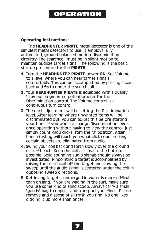## OPERATION

### **Operating Instructions:**

The **HEADHUNTER PIRATE** metal detector is one of the simplest metal detectors to use. It employs fully automated, ground balanced motion-discrimination circuitry. The searchcoil must be in slight motion to maintain audible target signal. The following is the basic startup procedure for the **PIRATE**.

- **1.** Turn the **HEADHUNTER PIRATE** power **ON**. Set Volume to a level where you can hear target signals comfortably. This can be accomplished by passing a coin back and forth under the searchcoil.
- **2.** Your **HEADHUNTER PIRATE** is equipped with a quality "stay put" segmented potentiometer for the Discrimination control. The Volume control is a continuous turn control.
- **3.** The next adjustment will be setting the Discrimination level. After learning where unwanted items will be discriminated out, you can adjust this before starting your hunt. If you want to change Discrimination levels once operating without having to view the control, just simply count knob clicks from the "0" position. Again, bench testing will teach you what click count setting certain objects are eliminated from audio.
- **4.** Swing your coil back and forth slowly over the ground or surf beach. Keep the coil as close to the bottom as possible. Solid sounding audio signals should always be investigated. Pinpointing a target is accomplished by raising the searchcoil off the target and slowing the sweep until the audio signal is centered under the coil in opposing sweep directions.
- **5.** Retrieving targets submerged in water is more difficult than on land. If you are wading in the surf, make sure you use some kind of sand scoop. Always carry a small "goody" bag to deposit and transport your finds. Please remove and dispose of all trash you find. No one likes digging it up more than once!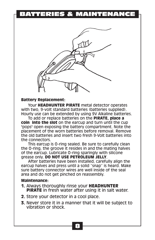# BATTERIES & MAINTENANCE



### **Battery Replacement:**

Your **HEADHUNTER PIRATE** metal detector operates with two, 9-volt standard batteries (batteries supplied). Hourly use can be extended by using 9V Alkaline batteries.

To add or replace batteries on the **PIRATE, place a coin into the slot** on the earcup and turn until the cup "pops" open exposing the battery compartment. Note the placement of the worn batteries before removal. Remove the old batteries and insert two fresh 9-Volt batteries into the connectors.

This earcup is O-ring sealed. Be sure to carefully clean the O-ring, the groove it resides in and the mating halves of the earcup. Lubricate O-ring sparingly with silicone grease only. **DO NOT USE PETROLEUM JELLY**.

After batteries have been installed, carefully align the earcup halves and press until a solid "snap" is heard. Make sure battery connector wires are well inside of the seal area and do not get pinched on reassembly.

### **Maintenance:**

- **1.** Always thoroughly rinse your **HEADHUNTER PIRATE** in fresh water after using it in salt water.
- **2.** Store your detector in a cool place.
- **3.** Never store it in a manner that it will be subject to vibration or shock.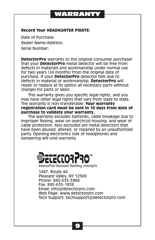## WARRANTY

### **Record Your HEADHUNTER PIRATE:**

Date of Purchase: Dealer Name/Address: Serial Number:

**DetectorPro** warrants to the original consumer purchaser that your **DetectorPro** metal detector will be free from defects in materials and workmanship under normal use for two years (24 months) from the original date of purchase. If your **DetectorPro** detector fails due to defects in material or workmanship, **DetectorPro** will repair or replace at its option all necessary parts without charges for parts or labor.

This warranty gives you specific legal rights, and you may have other legal rights that vary from state to state. The warranty is non-transferable. **Your warranty registration card must be sent in 10 days from date of purchase to validate your warranty.**

The warranty excludes batteries, cable breakage due to improper flexing, wear on searchcoil housing, and wear of cable protection. Also excluded are metal detectors that have been abused, altered, or repaired by an unauthorized party. Opening electronics side of headphones and tampering will void warranty.



**innovative treasure hunting concepts**

1447, Route 44 Pleasant Valley, NY 12569 Phone: 845-635-3488 Fax: 845-635-1838 Email: info@detectorpro.com Web Page: www.detectorpro.com Tech Support: techsupport@detectorpro.com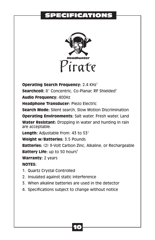# **PECIFICATIONS**



**Operating Search Frequency: 2.4 KHz<sup>1</sup>** 2 **Searchcoil:** 8" Concentric, Co-Planar, RF Shielded **Audio Frequency:** 400Hz **Headphone Transducer:** Piezo Electric **Search Mode:** Silent search, Slow Motion Discrimination **Operating Environments:** Salt water, Fresh water, Land **Water Resistant:** Dropping in water and hunting in rain are acceptable. **Length:** Adjustable from: 43 to 53"

**Weight w/Batteries:** 3.5 Pounds

**Batteries:** (2) 9-Volt Carbon Zinc, Alkaline, or Rechargeable **Battery Life:** up to 50 hours<sup>3</sup>

**Warranty:** 2 years

**NOTES:**

- 1. Quartz Crystal Controlled
- 2. Insulated against static interference
- 3. When alkaline batteries are used in the detector
- 4. Specifications subject to change without notice

10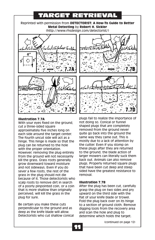# TARGET RETRIEVAL

Reprinted with permission from **DETECTORIST: A How-To Guide to Better Metal Detecting** by **Robert H. Sickler** (http://www.rhsdesign.com/detectorist/)



With your eyes fixed on the ground, cut a three-sided square<br>
approximately five inches long on strategy removed from the ground never approximately five inches long on a removed from the ground never<br>each side around the target center a quite go back into the ground the each side around the target center quite go back into the ground the . The fourth uncut side will act as a same way they came out. This is<br>hinge, This hinge is made so that the mostly due to a lack of attention by hinge. This hinge is made so that the mostly due to a lack of attention<br>plug can be returned to the hole by the cutter. Even if you stomp on plug can be returned to the hole with the proper orientation. These plugs after they are returned<br>However removing the plug entirely to the ground, the blade action of from the ground will not necessarily larger mowers can literally suck the<br>kill the grass, Grass roots generally lack out. Animals can also remove kill the grass. Grass roots generally and not sideways. Even if you do that have been cut deep and steep sever a few roots, the rest of the sided have the greatest resistance to sensual straining should not die sensual grass in the plug should not die because of it. Those detectorists who scalp roots to remove dirt in search **Illustration 7.7B** of a poorly pinpointed coin, or a coin After the plug has been cut, carefully that is more shallow than originally grasp the plug on two sides and pry perceived, will kill the grass in the upward on the third side with the plug for sure. The same of the set of your knife blade or trowel.

deep as the knife blade will allow. and scan the hole and plug to<br>Detectorists who cut shallow conical and recrimine which holds the tar



**Illustration 7.7A** plugs fail to realize the importance of postument of the importance of **Illustration** 1.1 and the ground in the interest with your ever However, removing the plug entirely to the ground, the blade action of<br>from the ground will not necessarily targer mowers can literally suck them grow downward toward moisture plugs. Properly returned square plugs

Fold the plug back over on its hinge Be certain you make these cuts to a section of ground cloth. Remove<br>perpendicular to the ground and as digging tools from the recovery area perpendicular to the ground and as digging tools from the recovery area deep as the knife blade will allow. determine which holds the target.